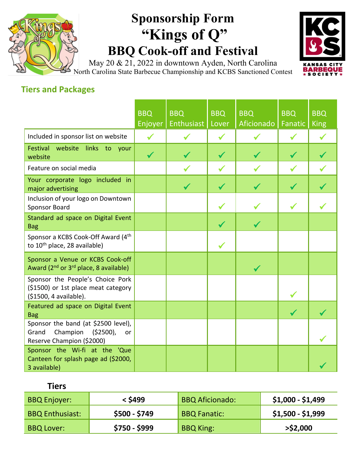## **Sponsorship Form "Kings of Q" BBQ Cook-off and Festival**

**KA BARBE** 

May 20 & 21, 2022 in downtown Ayden, North Carolina North Carolina State Barbecue Championship and KCBS Sanctioned Contest

## **Tiers and Packages**

|                                                                                                           | <b>BBQ</b><br>Enjoyer | <b>BBQ</b><br>Enthusiast | <b>BBQ</b><br>Lover | <b>BBQ</b><br>Aficionado | <b>BBQ</b><br><b>Fanatic</b> | <b>BBQ</b><br><b>King</b> |
|-----------------------------------------------------------------------------------------------------------|-----------------------|--------------------------|---------------------|--------------------------|------------------------------|---------------------------|
| Included in sponsor list on website                                                                       |                       |                          |                     |                          |                              |                           |
| Festival<br>website<br>links to your<br>website                                                           | $\checkmark$          |                          |                     |                          |                              |                           |
| Feature on social media                                                                                   |                       |                          |                     |                          |                              |                           |
| Your corporate logo included in<br>major advertising                                                      |                       |                          |                     |                          |                              |                           |
| Inclusion of your logo on Downtown<br>Sponsor Board                                                       |                       |                          |                     |                          |                              |                           |
| Standard ad space on Digital Event<br><b>Bag</b>                                                          |                       |                          |                     |                          |                              |                           |
| Sponsor a KCBS Cook-Off Award (4th<br>to 10 <sup>th</sup> place, 28 available)                            |                       |                          |                     |                          |                              |                           |
| Sponsor a Venue or KCBS Cook-off<br>Award (2 <sup>nd</sup> or 3 <sup>rd</sup> place, 8 available)         |                       |                          |                     | ✔                        |                              |                           |
| Sponsor the People's Choice Pork<br>(\$1500) or 1st place meat category<br>(\$1500, 4 available).         |                       |                          |                     |                          |                              |                           |
| Featured ad space on Digital Event<br><b>Bag</b>                                                          |                       |                          |                     |                          |                              |                           |
| Sponsor the band (at \$2500 level),<br>Champion<br>( \$2500),<br>Grand<br>or<br>Reserve Champion (\$2000) |                       |                          |                     |                          |                              |                           |
| Sponsor the Wi-fi at the 'Que<br>Canteen for splash page ad (\$2000,<br>3 available)                      |                       |                          |                     |                          |                              |                           |

## **Tiers**

| <b>BBQ Enjoyer:</b>    | < \$499       | <b>BBQ Aficionado:</b> | $$1,000 - $1,499$ |
|------------------------|---------------|------------------------|-------------------|
| <b>BBQ Enthusiast:</b> | $$500 - $749$ | <b>BBQ Fanatic:</b>    | $$1,500 - $1,999$ |
| <b>BBQ Lover:</b>      | $$750 - $999$ | <b>BBQ King:</b>       | $>$ \$2,000       |